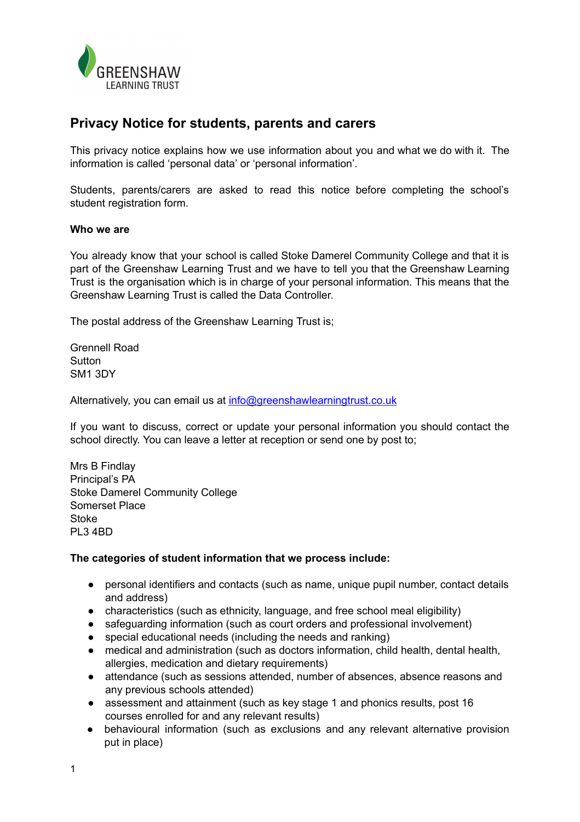

# **Privacy Notice for students, parents and carers**

This privacy notice explains how we use information about you and what we do with it. The information is called 'personal data' or 'personal information'.

Students, parents/carers are asked to read this notice before completing the school's student registration form.

### **Who we are**

You already know that your school is called Stoke Damerel Community College and that it is part of the Greenshaw Learning Trust and we have to tell you that the Greenshaw Learning Trust is the organisation which is in charge of your personal information. This means that the Greenshaw Learning Trust is called the Data Controller.

The postal address of the Greenshaw Learning Trust is;

Grennell Road **Sutton** SM1 3DY

Alternatively, you can email us at [info@greenshawlearningtrust.co.uk](mailto:info@greenshawlearningtrust.co.uk)

If you want to discuss, correct or update your personal information you should contact the school directly. You can leave a letter at reception or send one by post to;

Mrs B Findlay Principal's PA Stoke Damerel Community College Somerset Place **Stoke** PL3 4BD

# **The categories of student information that we process include:**

- personal identifiers and contacts (such as name, unique pupil number, contact details and address)
- characteristics (such as ethnicity, language, and free school meal eligibility)
- safeguarding information (such as court orders and professional involvement)
- special educational needs (including the needs and ranking)
- medical and administration (such as doctors information, child health, dental health, allergies, medication and dietary requirements)
- attendance (such as sessions attended, number of absences, absence reasons and any previous schools attended)
- assessment and attainment (such as key stage 1 and phonics results, post 16 courses enrolled for and any relevant results)
- behavioural information (such as exclusions and any relevant alternative provision put in place)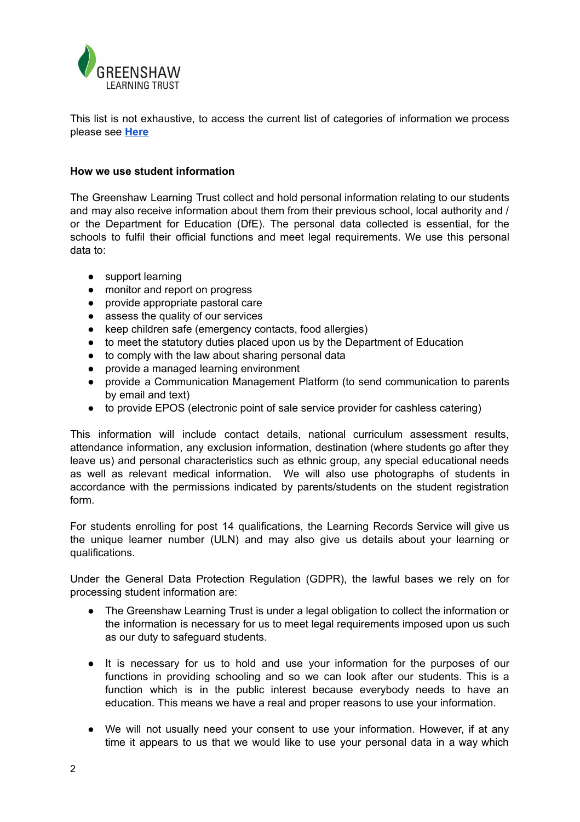

This list is not exhaustive, to access the current list of categories of information we process please see **[Here](https://www.greenshawlearningtrust.co.uk/attachments/download.asp?file=377&type=pdf)**

# **How we use student information**

The Greenshaw Learning Trust collect and hold personal information relating to our students and may also receive information about them from their previous school, local authority and / or the Department for Education (DfE). The personal data collected is essential, for the schools to fulfil their official functions and meet legal requirements. We use this personal data to:

- support learning
- monitor and report on progress
- provide appropriate pastoral care
- assess the quality of our services
- keep children safe (emergency contacts, food allergies)
- to meet the statutory duties placed upon us by the Department of Education
- to comply with the law about sharing personal data
- provide a managed learning environment
- provide a Communication Management Platform (to send communication to parents by email and text)
- to provide EPOS (electronic point of sale service provider for cashless catering)

This information will include contact details, national curriculum assessment results, attendance information, any exclusion information, destination (where students go after they leave us) and personal characteristics such as ethnic group, any special educational needs as well as relevant medical information. We will also use photographs of students in accordance with the permissions indicated by parents/students on the student registration form.

For students enrolling for post 14 qualifications, the Learning Records Service will give us the unique learner number (ULN) and may also give us details about your learning or qualifications.

Under the General Data Protection Regulation (GDPR), the lawful bases we rely on for processing student information are:

- The Greenshaw Learning Trust is under a legal obligation to collect the information or the information is necessary for us to meet legal requirements imposed upon us such as our duty to safeguard students.
- It is necessary for us to hold and use your information for the purposes of our functions in providing schooling and so we can look after our students. This is a function which is in the public interest because everybody needs to have an education. This means we have a real and proper reasons to use your information.
- We will not usually need your consent to use your information. However, if at any time it appears to us that we would like to use your personal data in a way which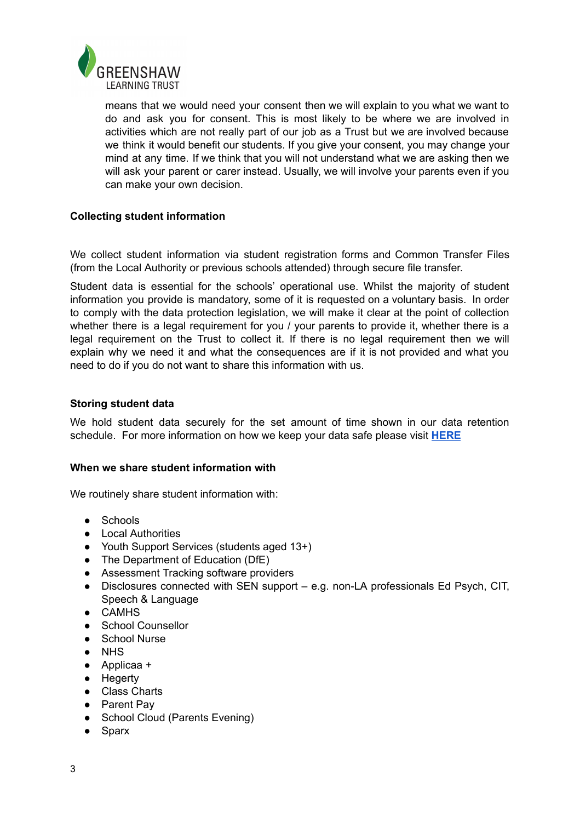

means that we would need your consent then we will explain to you what we want to do and ask you for consent. This is most likely to be where we are involved in activities which are not really part of our job as a Trust but we are involved because we think it would benefit our students. If you give your consent, you may change your mind at any time. If we think that you will not understand what we are asking then we will ask your parent or carer instead. Usually, we will involve your parents even if you can make your own decision.

# **Collecting student information**

We collect student information via student registration forms and Common Transfer Files (from the Local Authority or previous schools attended) through secure file transfer.

Student data is essential for the schools' operational use. Whilst the majority of student information you provide is mandatory, some of it is requested on a voluntary basis. In order to comply with the data protection legislation, we will make it clear at the point of collection whether there is a legal requirement for you / your parents to provide it, whether there is a legal requirement on the Trust to collect it. If there is no legal requirement then we will explain why we need it and what the consequences are if it is not provided and what you need to do if you do not want to share this information with us.

### **Storing student data**

We hold student data securely for the set amount of time shown in our data retention schedule. For more information on how we keep your data safe please visit **[HERE](https://www.greenshawlearningtrust.co.uk/attachments/download.asp?file=345)**

#### **When we share student information with**

We routinely share student information with:

- Schools
- Local Authorities
- Youth Support Services (students aged 13+)
- The Department of Education (DfE)
- Assessment Tracking software providers
- Disclosures connected with SEN support e.g. non-LA professionals Ed Psych, CIT, Speech & Language
- CAMHS
- School Counsellor
- School Nurse
- NHS
- Applicaa +
- Hegerty
- Class Charts
- Parent Pay
- School Cloud (Parents Evening)
- Sparx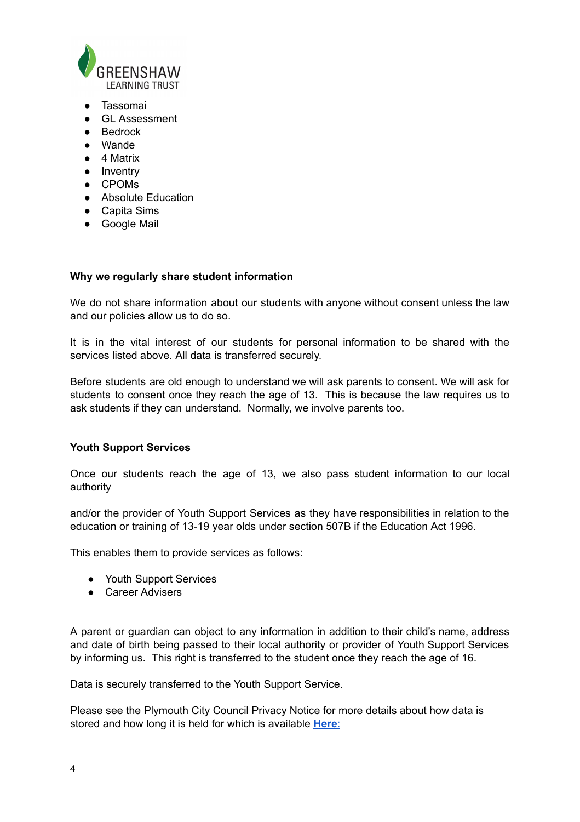

- Tassomai
- GL Assessment
- Bedrock
- Wande
- 4 Matrix
- Inventry
- CPOMs
- Absolute Education
- Capita Sims
- Google Mail

# **Why we regularly share student information**

We do not share information about our students with anyone without consent unless the law and our policies allow us to do so.

It is in the vital interest of our students for personal information to be shared with the services listed above. All data is transferred securely.

Before students are old enough to understand we will ask parents to consent. We will ask for students to consent once they reach the age of 13. This is because the law requires us to ask students if they can understand. Normally, we involve parents too.

# **Youth Support Services**

Once our students reach the age of 13, we also pass student information to our local authority

and/or the provider of Youth Support Services as they have responsibilities in relation to the education or training of 13-19 year olds under section 507B if the Education Act 1996.

This enables them to provide services as follows:

- Youth Support Services
- Career Advisers

A parent or guardian can object to any information in addition to their child's name, address and date of birth being passed to their local authority or provider of Youth Support Services by informing us. This right is transferred to the student once they reach the age of 16.

Data is securely transferred to the Youth Support Service.

Please see the Plymouth City Council Privacy Notice for more details about how data is stored and how long it is held for which is available **[Here](https://www.plymouth.gov.uk/websitetermsandconditions/privacypolicy/privacynotices)**: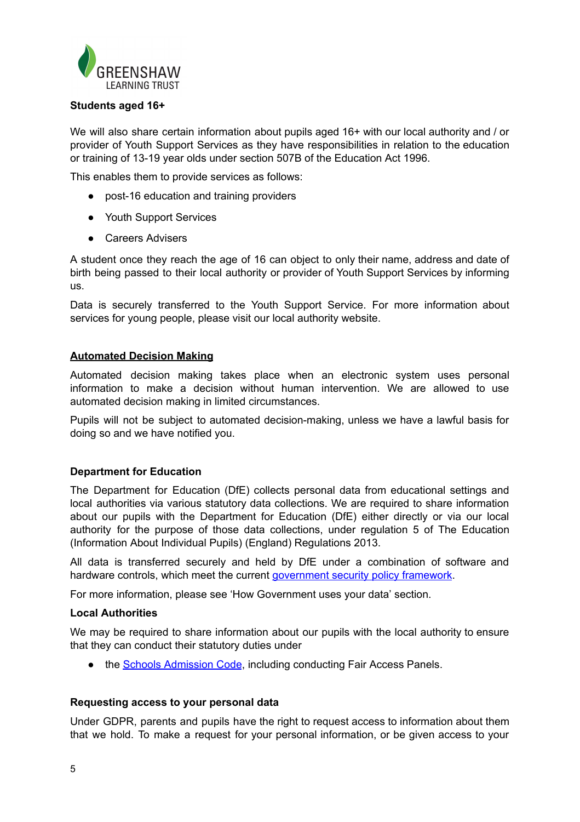

# **Students aged 16+**

We will also share certain information about pupils aged 16+ with our local authority and / or provider of Youth Support Services as they have responsibilities in relation to the education or training of 13-19 year olds under section 507B of the Education Act 1996.

This enables them to provide services as follows:

- post-16 education and training providers
- Youth Support Services
- Careers Advisers

A student once they reach the age of 16 can object to only their name, address and date of birth being passed to their local authority or provider of Youth Support Services by informing us.

Data is securely transferred to the Youth Support Service. For more information about services for young people, please visit our local authority website.

#### **Automated Decision Making**

Automated decision making takes place when an electronic system uses personal information to make a decision without human intervention. We are allowed to use automated decision making in limited circumstances.

Pupils will not be subject to automated decision-making, unless we have a lawful basis for doing so and we have notified you.

# **Department for Education**

The Department for Education (DfE) collects personal data from educational settings and local authorities via various statutory data collections. We are required to share information about our pupils with the Department for Education (DfE) either directly or via our local authority for the purpose of those data collections, under regulation 5 of The Education (Information About Individual Pupils) (England) Regulations 2013.

All data is transferred securely and held by DfE under a combination of software and hardware controls, which meet the current [government](https://www.gov.uk/government/publications/security-policy-framework) security policy framework.

For more information, please see 'How Government uses your data' section.

#### **Local Authorities**

We may be required to share information about our pupils with the local authority to ensure that they can conduct their statutory duties under

● the **Schools [Admission](https://www.gov.uk/government/publications/school-admissions-code--2) Code**, including conducting Fair Access Panels.

#### **Requesting access to your personal data**

Under GDPR, parents and pupils have the right to request access to information about them that we hold. To make a request for your personal information, or be given access to your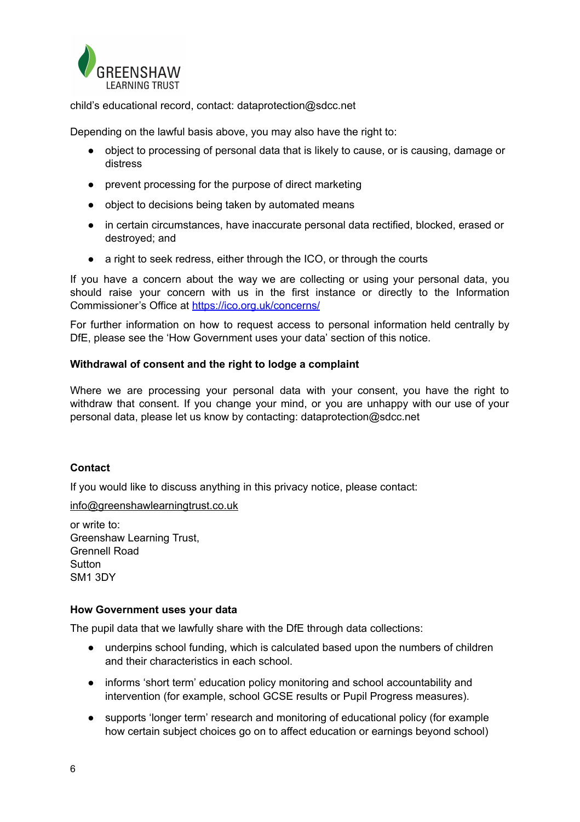

child's educational record, contact: dataprotection@sdcc.net

Depending on the lawful basis above, you may also have the right to:

- object to processing of personal data that is likely to cause, or is causing, damage or distress
- prevent processing for the purpose of direct marketing
- object to decisions being taken by automated means
- in certain circumstances, have inaccurate personal data rectified, blocked, erased or destroyed; and
- a right to seek redress, either through the ICO, or through the courts

If you have a concern about the way we are collecting or using your personal data, you should raise your concern with us in the first instance or directly to the Information Commissioner's Office at <https://ico.org.uk/concerns/>

For further information on how to request access to personal information held centrally by DfE, please see the 'How Government uses your data' section of this notice.

# **Withdrawal of consent and the right to lodge a complaint**

Where we are processing your personal data with your consent, you have the right to withdraw that consent. If you change your mind, or you are unhappy with our use of your personal data, please let us know by contacting: dataprotection@sdcc.net

# **Contact**

If you would like to discuss anything in this privacy notice, please contact:

[info@greenshawlearningtrust.co.uk](mailto:info@greenshawlearningtrust.co.uk)

or write to: Greenshaw Learning Trust, Grennell Road Sutton SM1 3DY

# **How Government uses your data**

The pupil data that we lawfully share with the DfE through data collections:

- underpins school funding, which is calculated based upon the numbers of children and their characteristics in each school.
- informs 'short term' education policy monitoring and school accountability and intervention (for example, school GCSE results or Pupil Progress measures).
- supports 'longer term' research and monitoring of educational policy (for example how certain subject choices go on to affect education or earnings beyond school)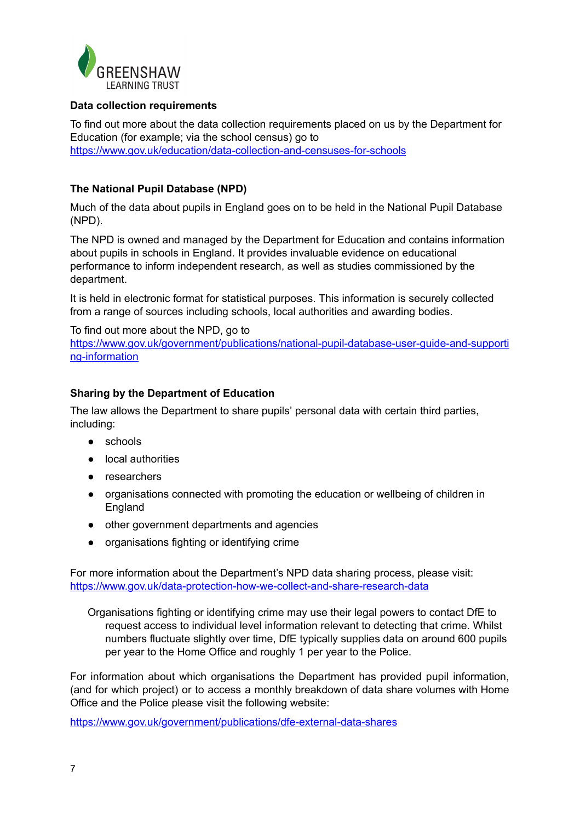

# **Data collection requirements**

To find out more about the data collection requirements placed on us by the Department for Education (for example; via the school census) go to <https://www.gov.uk/education/data-collection-and-censuses-for-schools>

# **The National Pupil Database (NPD)**

Much of the data about pupils in England goes on to be held in the National Pupil Database (NPD).

The NPD is owned and managed by the Department for Education and contains information about pupils in schools in England. It provides invaluable evidence on educational performance to inform independent research, as well as studies commissioned by the department.

It is held in electronic format for statistical purposes. This information is securely collected from a range of sources including schools, local authorities and awarding bodies.

To find out more about the NPD, go to [https://www.gov.uk/government/publications/national-pupil-database-user-guide-and-supporti](https://www.gov.uk/government/publications/national-pupil-database-user-guide-and-supporting-information) [ng-information](https://www.gov.uk/government/publications/national-pupil-database-user-guide-and-supporting-information)

# **Sharing by the Department of Education**

The law allows the Department to share pupils' personal data with certain third parties, including:

- schools
- local authorities
- researchers
- organisations connected with promoting the education or wellbeing of children in England
- other government departments and agencies
- organisations fighting or identifying crime

For more information about the Department's NPD data sharing process, please visit: <https://www.gov.uk/data-protection-how-we-collect-and-share-research-data>

Organisations fighting or identifying crime may use their legal powers to contact DfE to request access to individual level information relevant to detecting that crime. Whilst numbers fluctuate slightly over time, DfE typically supplies data on around 600 pupils per year to the Home Office and roughly 1 per year to the Police.

For information about which organisations the Department has provided pupil information, (and for which project) or to access a monthly breakdown of data share volumes with Home Office and the Police please visit the following website:

<https://www.gov.uk/government/publications/dfe-external-data-shares>